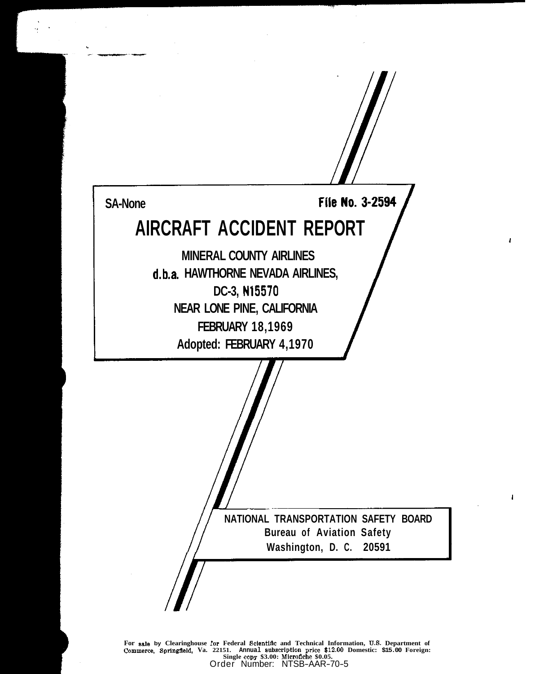

**1** 

1

**For ale by Clearinghouse :or Federal Seientifle and Technical Information, U.S. Department of commerce, Springfield, Va. 22151.** Annual subscription price \$12.00 Domestic: \$15.00 Foreign: Single copy \$3.00: Microfiche \$0.05. Order Number: NTSB-AAR-70-5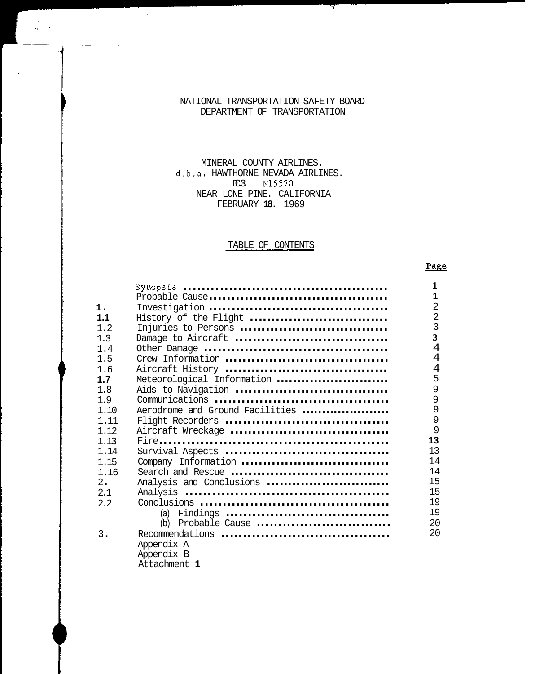## NATIONAL TRANSPORTATION SAFETY BOARD DEPARTMENT OF TRANSPORTATION

# d.b.a. HAWTHORNE NEVADA AIRLINES. MINERAL COUNTY AIRLINES. NEAR LONE PINE. CALIFORNIA DC.3. N15570 FEBRUARY **18.** 1969

# TABLE OF CONTENTS

## Page

|       |                                 | 1                       |
|-------|---------------------------------|-------------------------|
|       |                                 | $\overline{1}$          |
| 1.    |                                 | $\overline{2}$          |
| 1.1   | History of the Flight           | $\overline{2}$          |
| 1.2   | Injuries to Persons             | $\mathsf{3}$            |
| 1.3   | Damage to Aircraft              | $\overline{\mathbf{3}}$ |
| 1.4   |                                 | $\overline{4}$          |
| 1.5   |                                 | 4                       |
| 1.6   |                                 | 4                       |
| 1.7   | Meteorological Information      | 5                       |
| 1.8   | Aids to Navigation              | 9                       |
| 1.9   |                                 | 9                       |
| 1.10  | Aerodrome and Ground Facilities | $\overline{9}$          |
| 1.11  |                                 | 9                       |
| 1.12  |                                 | 9                       |
| 1.13  |                                 | 13                      |
| 1.14  |                                 | 13                      |
| 1.15  | Company Information             | 14                      |
| 1.16  |                                 | 14                      |
| 2.    | Analysis and Conclusions        | 15                      |
| 2.1   |                                 | 15                      |
| 2.2   |                                 | 19                      |
|       |                                 | 19                      |
|       | (b) Probable Cause              | 20                      |
| $3$ . |                                 | 20                      |
|       | Appendix A                      |                         |
|       | Appendix B                      |                         |
|       | Attachment 1                    |                         |
|       |                                 |                         |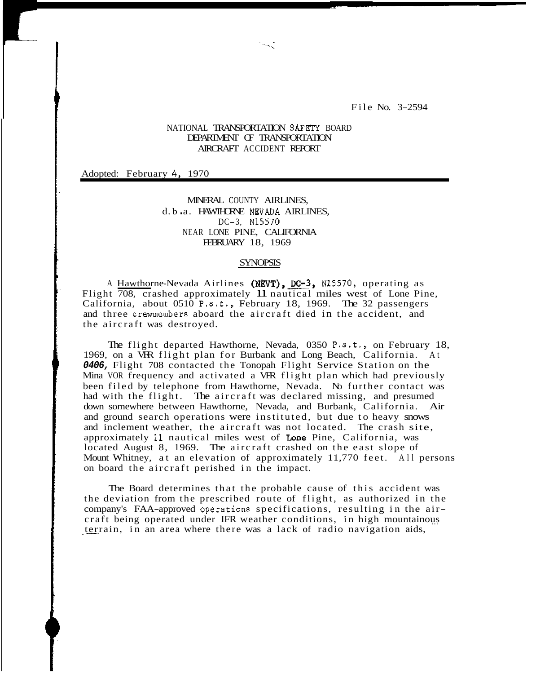File No. 3-2594

## NATIONAL **TRANSPORTATION** SAFETY BOARD DEPARTMENT OF TRANSPORTATION AIRCRAFT ACCIDENT REPORT

Adopted: February *4,* 1970

MINERAL COUNTY AIRLINES, d. b .a. HAWIHORNE NEVADA AIRLINES, DC-3, N15570 NEAR LONE PINE, CALIFORNIA FEBRUARY 18, 1969

#### SYNOPSIS

A Hawthorne-Nevada Airlines (NEVT), DC-3, N15570, operating as Flight 708, crashed approximately 11 nautical miles west of Lone Pine, California, about  $0510 \text{ P.s.t., }$  February 18, 1969. The 32 passengers and three crewmembers aboard the aircraft died in the accident, and the aircraft was destroyed.

1969, on a VFR flight plan for Burbank and Long Beach, California. At *0406,* Flight 708 contacted the Tonopah Flight Service Station on the Mina VOR frequency and activated a VRR flight plan which had previously been filed by telephone from Hawthorne, Nevada. No further contact was had with the flight. The aircraft was declared missing, and presumed down somewhere between Hawthorne, Nevada, and Burbank, California. Air and ground search operations were instituted, but due to heavy snows and inclement weather, the aircraft was not located. The crash site, approximately 11 nautical miles west of Lone Pine, California, was located August 8, 1969. The aircraft crashed on the east slope of Mount Whitney, at an elevation of approximately 11,770 feet. All persons on board the aircraft perished in the impact. The flight departed Hawthorne, Nevada, 0350 P.s.t., on February 18,

The Board determines that the probable cause of this accident was the deviation from the prescribed route of flight, as authorized in the company's FAA-approved Operations specifications, resulting in the aircraft being operated under IFR weather conditions, in high mountainous terrain, in an area where there was a lack of radio navigation aids,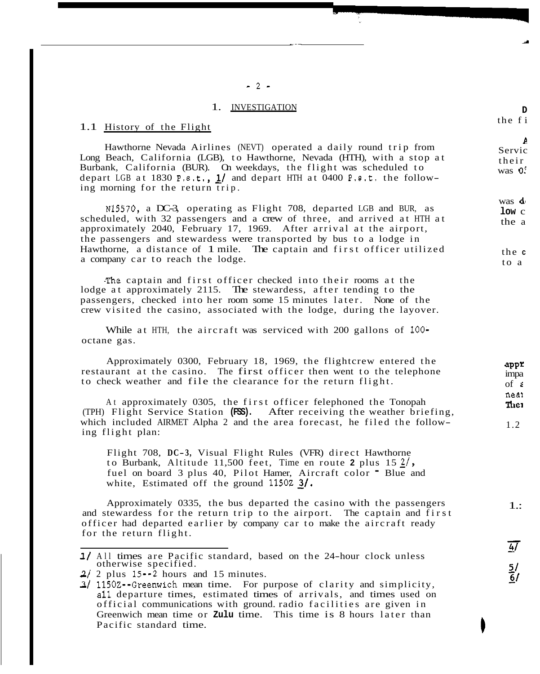### 1. INVESTIGATION

#### 1.1 History of the Flight

Hawthorne Nevada Airlines (NEVT) operated a daily round trip from Long Beach, California (LGB), to Hawthorne, Nevada (HTH), with a stop at Burbank, California (BUR). On weekdays, the flight was scheduled to depart LGB at 1830 P.8.t.) *11* and depart HTH at 0400 P.8.t. the following morning for the return trip.

scheduled, with 32 passengers and a crew of three, and arrived at HTH at approximately 2040, February 17, 1969. After arrival at the airport, Hawthorne, a distance of 1 mile. The captain and first officer utilized the passengers and stewardess were transported by bus to a lodge in a company car to reach the lodge. N15570, a DC-3, operating as Flight 708, departed LGB and BUR, as

.The captain and first officer checked into their rooms at the passengers, checked into her room some 15 minutes later. None of the lodge at approximately 2115. The stewardess, after tending to the crew visited the casino, associated with the lodge, during the layover.

While at HTH, the aircraft was serviced with 200 gallons of **100**  octane gas.

Approximately 0300, February 18, 1969, the flightcrew entered the restaurant at the casino. The first officer then went to the telephone to check weather and file the clearance for the return flight.

(TPH) Flight Service Station **(FSS).** After receiving the weather briefing, At approximately 0305, the first officer felephoned the Tonopah which included AIRMET Alpha 2 and the area forecast, he filed the following flight plan:

Flight 708, DC-3, Visual Flight Rules (VFR) direct Hawthorne to Burbank, Altitude 11,500 feet, Time en route 2 plus  $15 \frac{2}{7}$ , fuel on board 3 plus 40, Pilot Hamer, Aircraft color " Blue and white, Estimated off the ground 11502 3/.

Approximately 0335, the bus departed the casino with the passengers and stewardess for the return trip to the airport. The captain and first officer had departed earlier by company car to make the aircraft ready for the return flight.

-2-

 $t$ 

Servic

 $t<sub>i</sub>$  $\overline{\mathbf{v}}$ 

 $\mathbf{v}$  $\mathbf{l}$ t

> the **<sup>c</sup>**  $\mathbf 1$

<sup>1/</sup> All times are Pacific standard, based on the 24-hour clock unless otherwise specified.

 $2/$  2 plus 15 $-2$  hours and 15 minutes.

<sup>-</sup> 31 1150Z--Greenwich mean time. For purpose of clarity and simplicity, official communications with ground. radio facilities are given in all departure times, estimated times of arrivals, and times used on Greenwich mean time or **Zulu** time. This time is 8 hours later than Pacific standard time.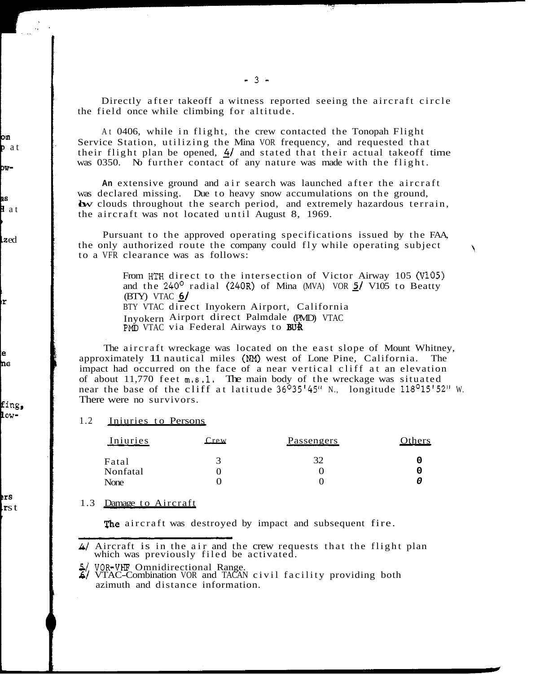the field once while climbing for altitude. Directly after takeoff a witness reported seeing the aircraft circle

Service Station, utilizing the Mina VOR frequency, and requested that At 0406, while in flight, the crew contacted the Tonopah Flight their flight plan be opened, *A/* and stated that their actual takeoff time was 0350. No further contact of any nature was made with the flight.

**An** extensive ground and air search was launched after the aircraft was declared missing. Due to heavy snow accumulations on the ground, by clouds throughout the search period, and extremely hazardous terrain, the aircraft was not located until August 8, 1969.

Pursuant to the approved operating specifications issued by the FAA, the only authorized route the company could fly while operating subject<br>to a VFR clearance was as follows:

> From **HTH** direct to the intersection of Victor Airway 105 (V105) and the 240° radial (240R) of Mina (MVA) VOR *I/* V105 to Beatty and the  $240^{\circ}$  radial (240R) of Mina (MVA) VOR  $\frac{5}{1}$  V105 to Beatty (BTY) VTAC  $6/$ BTY VTAC direct Inyokern Airport, California Inyokern Airport direct Palmdale (PMD) VTAC<br>PMD VTAC via Federal Airways to BUR

approximately 11 nautical miles (NM) west of Lone Pine, California. impact had occurred on the face of a near vertical cliff at an elevation of about 11,770 feet m.s.1. The main body of the wreckage was situated of about 11,770 Feet also 1.1. The main body of the wieldage was situated<br>near the base of the cliff at latitude 36<sup>o</sup>35'45" N., longitude 118<sup>o</sup>15'52" W.<br>There were no survivors.<br>1.2 <u>Iniuries to Persons</u><br>Iniuries Crew P There were no survivors. The aircraft wreckage was located on the east slope of Mount Whitney,

#### 1.2 Iniuries to Persons

| Iniuries | $\mathbf{r}$ ew | <b>Passengers</b> | Others |
|----------|-----------------|-------------------|--------|
| Fatal    |                 |                   |        |
| Nonfatal |                 |                   |        |
| None     |                 |                   |        |

#### 1.3 Damage to Aircraft

The aircraft was destroyed by impact and subsequent fire.

which was previously filed be<br>5/ VOR-VHF Omnidirectional Range.

<sup>-</sup> *4/* Aircraft is in the air and the crew requests that the flight plan which was previously filed be activated.

<sup>-</sup> **6/** VTAC-Combination VOR and TACAN civil facility providing both azimuth and distance information.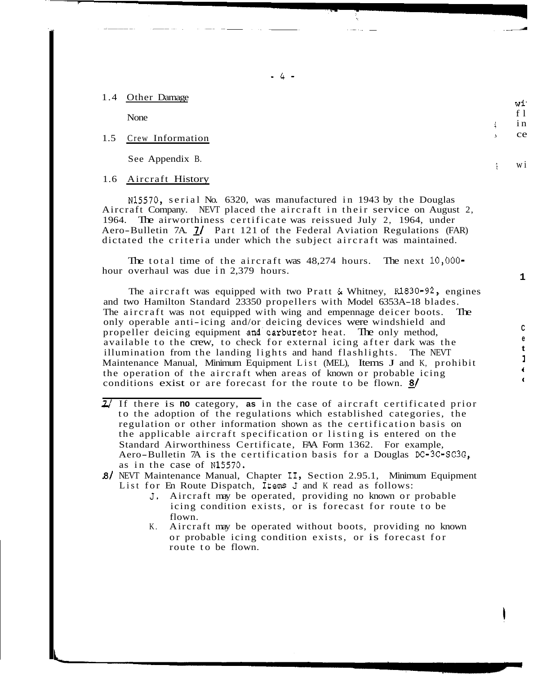### 1.4 Other Damage

None

### 1.5 Crew Information

See Appendix B.

### 1.6 Aircraft History

Aircraft Company. NEVT placed the aircraft in their service on August 2, N15570, serial No. 6320, was manufactured in 1943 by the Douglas Aero-Bulletin 7A. *I/* Part 121 of the Federal Aviation Regulations (FAR) 1964. The airworthiness certificate was reissued July 2, 1964, under dictated the criteria under which the subject aircraft was maintained.

hour overhaul was due in 2,379 hours. The total time of the aircraft was 48,274 hours. The next 10,000-

The aircraft was equipped with two Pratt & Whitney, Rl830-92, engines and two Hamilton Standard 23350 propellers with Model 6353A-18 blades. The aircraft was not equipped with wing and empennage deicer boots. only operable anti-icing and/or deicing devices were windshield and propeller deicing equipment and carburetor heat. The only method, available to the crew, to check for external icing after dark was the illumination from the landing lights and hand flashlights. The NEVT Maintenance Manual, Minimum Equipment List (MEL), Items J and K, prohibit the operation of the aircraft when areas of known or probable icing conditions exist or are forecast for the route to be flown. **g/** 

- 71 If there is **no** category, **as** in the case of aircraft certificated prior to the adoption of the regulations which established categories, the regulation or other information shown as the certification basis on the applicable aircraft specification or listing is entered on the Standard Airworthiness Certificate, FAA Form 1362. For example, Aero-Bulletin 7A is the certification basis for a Douglas  $DC-3C-SC-3G$ , as in the case of N15570.
- List for En Route Dispatch, Items J and K read as follows: 8/ NEVT Maintenance Manual, Chapter II, Section 2.95.1, Minimum Equipment
	- **J.** Aircraft may be operated, providing no known or probable icing condition exists, or is forecast for route to be flown.
	- K. Aircraft may be operated without boots, providing no known or probable icing condition exists, or is forecast for route to be flown.

 $\frac{1}{2}$ 

**<sup>1</sup>**wi

ł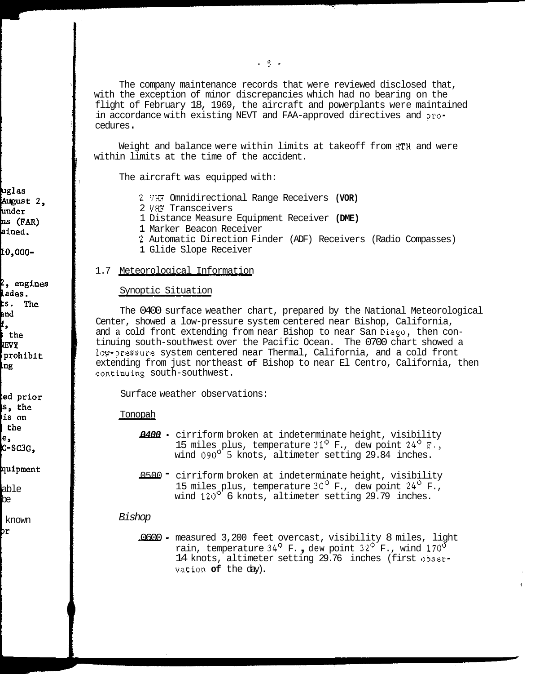with the exception of minor discrepancies which had no bearing on the flight of February 18, 1969, the aircraft and powerplants were maintained in accordance with existing NEVT and FAA-approved directives and pro-<br>cedures. The company maintenance records that were reviewed disclosed that,

Weight and balance were within limits at takeoff from **HTH** and were within limits at the time of the accident.

The aircraft was equipped with:

- 2 **VHF** Omnidirectional Range Receivers **(VOR)**
- 2 **VHF** Transceivers
- 1 Distance Measure Equipment Receiver **(DME)**
- **1** Marker Beacon Receiver
- 2 Automatic Direction Finder (ADF) Receivers (Radio Compasses)
- **1** Glide Slope Receiver

# 1.7 Meteorological Information

#### Synoptic Situation

The 0400 surface weather chart, prepared by the National Meteorological Center, showed a low-pressure system centered near Bishop, California, and a cold front extending from near Bishop to near San Diego, then continuing south-southwest over the Pacific Ocean. The 0700 chart showed a low-pressure system centered near Thermal, California, and a cold front extending from just northeast **of** Bishop to near El Centro, California, then continuing south-southwest.

Surface weather observations:

#### Tonopah

- *0400*  cirriform broken at indeterminate height, visibility 15 miles plus, temperature  $31^{\circ}$  F., dew point  $24^{\circ}$  F., wind 090<sup>ot</sup> 5 knots, altimeter setting 29.84 inches. 15 miles plus, temperature 31<sup>9</sup> F., dew point 24<sup>0</sup> F., wind 090<sup>0</sup> 5 knots, altimeter setting 29.84 inches.<br>15 miles plus, temperature string 29.84 inches.<br>15 miles plus, temperature 30<sup>0</sup> F., dew point 24<sup>0</sup> F.,
- wind  $120^{\circ}$  6 knots, altimeter setting 29.79 inches. CITITION DIONENT at INDECEDINATE REIGHT, VISIDITLY<br>15 miles plus, temperature 30<sup>0</sup> F., dew point 24<sup>0</sup> F.,<br>wind 120<sup>0</sup> 6 knots, altimeter setting 29.79 inches.<br>1000 - measured 3,200 feet overcast, visibility 8 miles, lig

#### *Bishop*

 $\overline{1}$ <br>19ht rain, temperature 34<sup>°</sup> F., dew point 32<sup>°</sup> F., wind 170<sup>°</sup> vation **of** the day). 14 knots, altimeter setting 29.76 inches (first obser-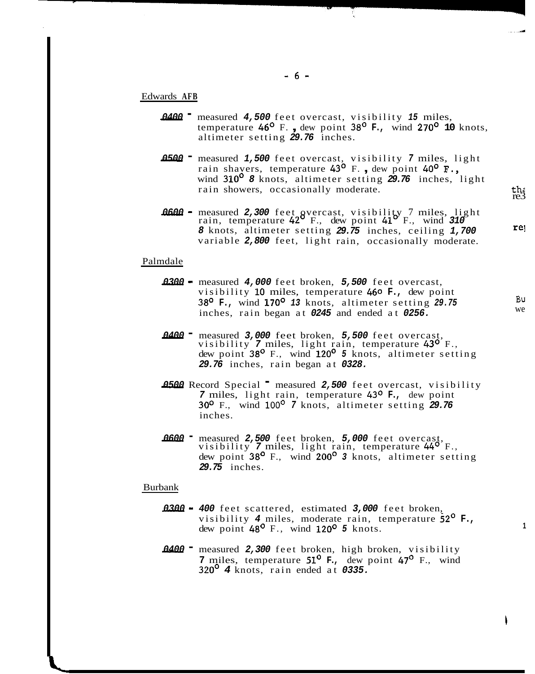### Edwards **AFB**

- *0400*  measured *4,500* feet overcast, visibility *15* miles, temperature *46'* F. , dew point *38'* **F.,** wind *270'* **10** knots, altimeter setting *29.76* inches. 0400 • measured 4,500 feet overcast, visibility 15 miles,<br>
temperature 46<sup>o</sup> F., dew point 38<sup>o</sup> F., wind 270<sup>o</sup> 10 knots<br>
altimeter setting 29.76 inches.<br>
0500 • measured 1,500 feet overcast, visibility 7 miles, light<br>
ra
- wind *310' 8* knots, altimeter setting *29.76* inches, light rain showers, occasionally moderate. 0500 **-** measured 1,500 feet overcast, visibility 7 miles, light<br>rain shavers, temperature 43<sup>o</sup> F., dew point 40<sup>o</sup> F.,<br>wind 310<sup>o</sup> 8 knots, altimeter setting 29.76 inches, light<br>rain showers, occasionally moderate.<br>0600
- *8* knots, altimeter setting *29.75* inches, ceiling 1,700 variable 2,800 feet, light rain, occasionally moderate.<br>
<u>dale</u><br> **0300** measured 4,000 feet broken, 5,500 feet overcast, visibility 10 miles, temperature 460 F., variable *2,800* feet, light rain, occasionally moderate.

re3

re1

Bu we

**1** 

### Palmdale

- visibility *10* miles, temperature *460* **F.,** dew point *38'* **F.,** wind *170' 13* knots, altimeter setting *29.75*  inches, rain began at *0245* and ended at *0256.*  2000 – measured 4,000 feet broken, 5,500 feet overcast,<br>
visibility 10 miles, temperature 460 **F.**, dew point<br>
38<sup>0</sup> **F.**, wind 170<sup>0</sup> 13 knots, altimeter setting 29.75<br>
inches, rain began at 0245 and ended at 0256.<br>
2400
- dew point *38'* F., wind *120' 5* knots, altimeter setting *29.76* inches, rain began at *0328.*  1400 • measured 3,000 feet broken, 5,500 feet overcast,<br>visibility 7 miles, light rain, temperature 43<sup>0</sup> F.,<br>dew point 38<sup>0</sup> F., wind 120<sup>0</sup> 5 knots, altimeter setting<br>29.76 inches, rain began at 0328.<br>4500 Record Special
- *30°* F., wind 100' *7* knots, altimeter setting *29.76 7* miles, light rain, temperature *43O* **F.,** dew point inches. 2500 Record Special <sup>-</sup> measured 2,500 feet overcast, visibi<br>
7 miles, light rain, temperature 43<sup>o</sup> F., dew point<br>
30<sup>o</sup> F., wind 100<sup>o</sup> 7 knots, altimeter setting 29.76<br>
inches.<br>
2600 - measured 2,500 feet broken, 5,000
- dew point *38'* F., wind *200' 3* knots, altimeter setting *29.75* inches. visibility 7 lillies, right fain, temperature 44<br>dew point 38<sup>0</sup> F., wind 200<sup>0</sup> 3 knots, altimeter s<br>29.75 inches.<br>ank<br>0300 - 400 feet scattered, estimated 3,000 feet broken,<br>visibility 4 miles, moderate rain, temperature

#### Burbank

- visibility *4* miles, moderate rain, temperature *52'* **F.,**  dew point *48'* F., wind *120' 5* knots. 0300 - 400 feet scattered, estimated 3,000 feet broken,<br>visibility 4 miles, moderate rain, temperature  $52^{\circ}$  H<br>dew point 48<sup>o</sup> F., wind 120<sup>o</sup> 5 knots.<br>0400 - measured 2,300 feet broken, high broken, visibility<br>7 miles
- **7** miles, temperature *51'* **F.,** dew point *47'* F., wind *320' 4* knots, rain ended at *0335.*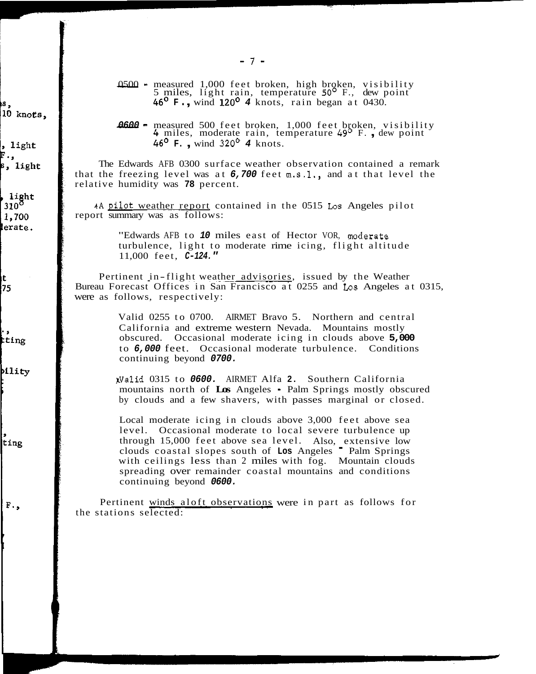- $7$  -<br>0500 measured 1,000 feet broken, high broken, visibility<br>5 miles, light rain, temperature 50<sup>0</sup> F., dew point<br>60 F. wind 120<sup>0</sup> 4 knots, rain bossn at 0430 **5 miles, light rain, temperature 50<sup>6</sup> F., dew p**<br>46<sup>0</sup> **F.,** wind 120<sup>0</sup> 4 knots, rain began at 0430. **0500** - measured 1,000 feet broken, high broken, visibility<br>5 miles, light rain, temperature 50<sup>o</sup> F., dew point<br>46<sup>0</sup> F., wind 120<sup>o</sup> 4 knots, rain began at 0430.<br>**0600** - measured 500 feet broken, 1,000 feet broken, vi
- **4600** measured 500 feet broken, 1,000 feet broken, visibility 4 miles, moderate rain, temperature 49<sup>0</sup> F., dew point 46<sup>0</sup> F., wind 320<sup>0</sup> 4 knots.

The Edwards AFB 0300 surface weather observation contained a remark that the freezing level was at *6,700* feet m.s.l., and at that level the relative humidity was **78** percent.

report summary was as follows: rApilot weather report contained in the 0515 **Los** Angeles pilot

> "Edwards AFB to *10* miles east of Hector VOR, aoderate turbulence, light to moderate rime icing, flight altitude 11,000 feet, *C-124."*

Pertinent in-flight weather advisories, issued by the Weather Bureau Forecast Offices in San Francisco at 0255 and **Los** Angeles at 0315, were as follows, respectively:

> Valid 0255 to 0700. AIRMET Bravo 5. Northern and central California and extreme western Nevada. Mountains mostly obscured. Occasional moderate icing in clouds above **5,000**  to *6,000* feet. Occasional moderate turbulence. Conditions continuing beyond *0700.*

KValid 0315 to *0600.* AIRMET Alfa **2.** Southern California mountains north of **Los** Angeles - Palm Springs mostly obscured by clouds and a few shavers, with passes marginal or closed.

Local moderate icing in clouds above 3,000 feet above sea through 15,000 feet above sea level. Also, extensive low level. Occasional moderate to local severe turbulence up clouds coastal slopes south of **Los** Angeles - Palm Springs with ceilings less than 2 miles with fog. Mountain clouds spreading over remainder coastal mountains and conditions continuing beyond *0600.* 

the stations selected: Pertinent winds aloft observations were in part as follows for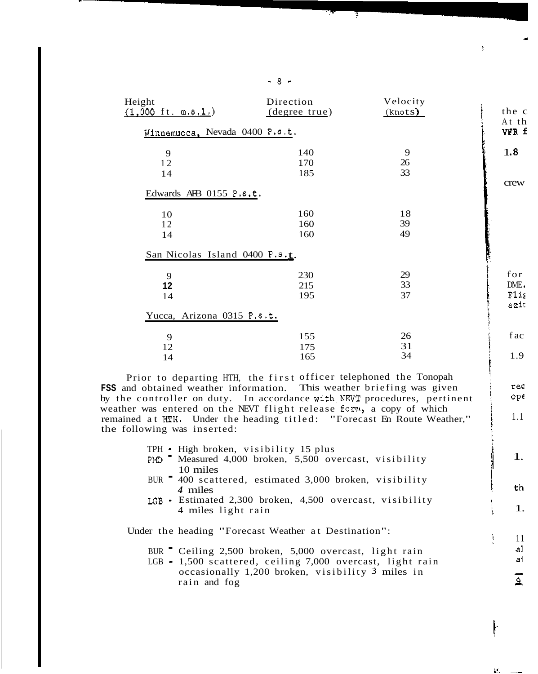| Height<br>$(1,000 \text{ ft. m.s.}1.)$ | Direction<br>(degree true) | Velocity<br>(knots) |
|----------------------------------------|----------------------------|---------------------|
| Winnemucca, Nevada 0400 P.s.t.         |                            |                     |
| 9                                      | 140                        | 9                   |
| 12                                     | 170                        | 26                  |
| 14                                     | 185                        | 33                  |
| Edwards AB 0155 $P.s.t.$               |                            |                     |
| 10                                     | 160                        | 18                  |
| 12                                     | 160                        | 39                  |
| 14                                     | 160                        | 49                  |
| San Nicolas Island 0400 P.s. $_{t}$ .  |                            |                     |
| 9                                      | 230                        | 29                  |
| 12                                     | 215                        | 33                  |
| 14                                     | 195                        | 37                  |
| Yucca, Arizona 0315 P.s.t.             |                            |                     |
| 9                                      | 155                        | 26                  |
| 12                                     | 175                        | 31                  |
| 14                                     | 165                        | 34                  |

**FSS** and obtained weather information. This weather briefing was given Prior to departing HTH, the first officer telephoned the Tonopah by the controller on duty. In accordance with.NEVT procedures, pertinent weather was entered on the NEVT flight release form, a copy of which remained at HTH. Under the heading titled: "Forecast En Route Weather," the following was inserted:

- TPH High broken, visibility 15 plus
- PMD <sup>-</sup> Measured 4,000 broken, 5,500 overcast, visibility 10 miles
- BUR <sup>-</sup> 400 scattered, estimated 3,000 broken, visibility *4* miles
- LGB Estimated 2,300 broken, 4,500 overcast, visibility 4 miles light rain

Under the heading "Forecast Weather at Destination":

- BUR Ceiling 2,500 broken, 5,000 overcast, light rain
- LGB 1,500 scattered, ceiling 7,000 overcast, light rain occasionally 1,200 broken, visibility 3 miles in rain and fog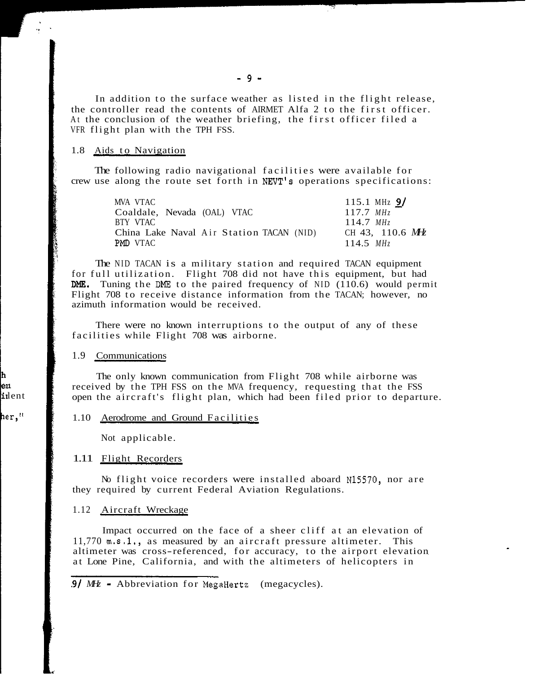In addition to the surface weather as listed in the flight release, At the conclusion of the weather briefing, the first officer filed a the controller read the contents of AIRMET Alfa 2 to the first officer. VFR flight plan with the TPH FSS.

## 1.8 Aids to Navigation

The following radio navigational facilities were available for crew use along the route set forth in NEVT'S operations specifications:

| MVA VTAC                                 | 115.1 MHz $9/$          |
|------------------------------------------|-------------------------|
| Coaldale, Nevada (OAL) VTAC              | $117.7$ MH <sub>7</sub> |
| BTY VTAC                                 | $114.7$ MH <sub>7</sub> |
| China Lake Naval Air Station TACAN (NID) | CH 43, 110.6 MHz        |
| PMD VTAC                                 | 114.5 $MHz$             |

for full utilization. Flight 708 did not have this equipment, but had DME. Tuning the DME to the paired frequency of NID  $(110.6)$  would permit Flight 708 to receive distance information from the TACAN; however, no azimuth information would be received. The NID TACAN is a military station and required TACAN equipment

facilities while Flight 708 was airborne. There were no known interruptions to the output of any of these

1.9 Communications

The only known communication from Flight 708 while airborne was received by the TPH FSS on the MVA frequency, requesting that the FSS open the aircraft's flight plan, which had been filed prior to departure.

### 1.10 Aerodrome and Ground Facilities

Not applicable.

### 1.11 Flight Recorders

No flight voice recorders were installed aboard N15570, nor are they required by current Federal Aviation Regulations.

#### 1.12 Aircraft Wreckage

11,770 m.s.l., as measured by an aircraft pressure altimeter. This altimeter was cross-referenced, for accuracy, to the airport elevation at Lone Pine, California, and with the altimeters of helicopters in Impact occurred on the face of a sheer cliff at an elevation of

<sup>9/</sup> MHz • Abbreviation for MegaHertz (megacycles).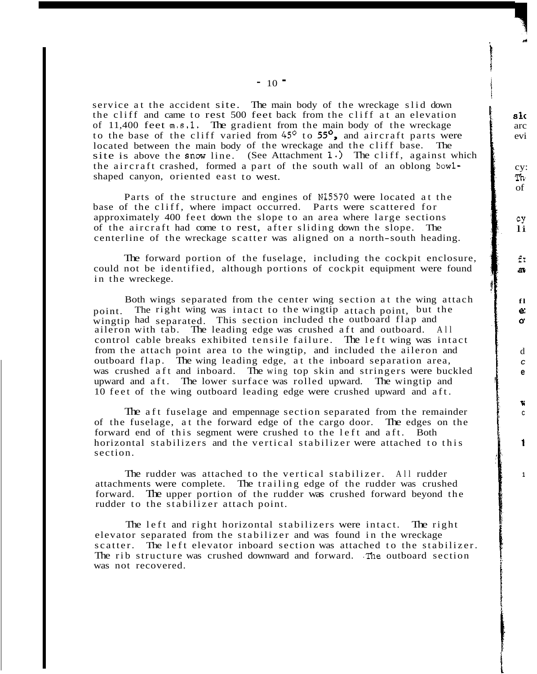service at the accident site. The main body of the wreckage slid down the cliff and came to rest 500 feet back from the cliff at an elevation of  $11,400$  feet  $m.s.1$ . The gradient from the main body of the wreckage to the base of the cliff varied from  $45^{\circ}$  to  $55^{\circ}$ , and aircraft parts were site is above the snow line. (See Attachment  $1 \cdot$ ) The cliff, against which located between the main body of the wreckage and the cliff base. The the aircraft crashed, formed a part of the south wall of an oblong bowlshaped canyon, oriented east to west.

i je jedno područeno područeno područeno područeno područeno područeno područeno područeno područeno područeno<br>Vijekog područeno područeno područeno područeno područeno područeno područeno područeno područeno područeno po

j i

Parts of the structure and engines of N15570 were located at the base of the cliff, where impact occurred. Parts were scattered for approximately 400 feet down the slope to an area where large sections of the aircraft had come to rest, after sliding down the slope. The centerline of the wreckage scatter was aligned on a north-south heading.

could not be identified, although portions of cockpit equipment were found in the wreckege. The forward portion of the fuselage, including the cockpit enclosure,

Both wings separated from the center wing section at the wing attach<br>The right wing was intact to the wingtip attach point, but the point. The right wing was intact to the wingtip attach point, but the wingtip had separated. This section included the outboard flap and aileron with tab. The leading edge was crushed aft and outboard. All aileron with tab. The leading edge was crushed aft and outboard. control cable breaks exhibited tensile failure. The left wing was intact from the attach point area to the wingtip, and included the aileron and outboard flap. The wing leading edge, at the inboard separation area, was crushed aft and inboard. The wing top skin and stringers were buckled upward and aft. The lower surface was rolled upward. The wingtip and 10 feet of the wing outboard leading edge were crushed upward and aft.

The aft fuselage and empennage section separated from the remainder of the fuselage, at the forward edge of the cargo door. The edges on the horizontal stabilizers and the vertical stabilizer were attached to this forward end of this segment were crushed to the left and aft. Both section.

attachments were complete. The trailing edge of the rudder was crushed forward. The upper portion of the rudder was crushed forward beyond the rudder to the stabilizer attach point. The rudder was attached to the vertical stabilizer. All rudder

The left and right horizontal stabilizers were intact. The right elevator separated from the stabilizer and was found in the wreckage scatter. The left elevator inboard section was attached to the stabilizer. was not recovered. The rib structure was crushed downward and forward. .The outboard section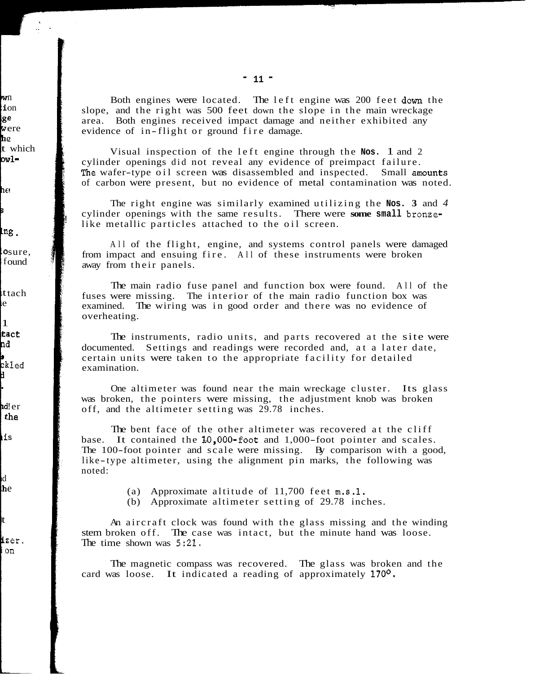slope, and the right was 500 feet down the slope in the main wreckage area. Both engines received impact damage and neither exhibited any evidence of in-flight or ground fire damage. Both engines were located. The left engine was 200 feet down the

Visual inspection of the left engine through the **Nos.** 1 and 2 cylinder openings did not reveal any evidence of preimpact failure. The wafer-type oil screen was disassembled and inspected. Small amounts of carbon were present, but no evidence of metal contamination was noted.

cylinder openings with the same results. There were **some small** bronzelike metallic particles attached to the oil screen. The right engine was similarly examined utilizing the **Nos. 3** and *4* 

!

All of the flight, engine, and systems control panels were damaged from impact and ensuing fire. All of these instruments were broken away from their panels.

fuses were missing. The interior of the main radio function box was examined. The wiring was in good order and there was no evidence of overheating. The main radio fuse panel and function box were found. All of the

documented. Settings and readings were recorded and, at a later date, certain units were taken to the appropriate facility for detailed examination. The instruments, radio units, and parts recovered at the site were

was broken, the pointers were missing, the adjustment knob was broken off, and the altimeter setting was 29.78 inches. One altimeter was found near the main wreckage cluster. Its glass

The bent face of the other altimeter was recovered at the cliff base. It contained the L0,OOO-foot and 1,000-foot pointer and scales. The 100-foot pointer and scale were missing. By comparison with a good, like-type altimeter, using the alignment pin marks, the following was noted:

(a) Approximate altitude of 11,700 feet m.s.1.

(b) Approximate altimeter setting of 29.78 inches.

stem broken off. The case was intact, but the minute hand was loose. The time shown was  $5:21$ . An aircraft clock was found with the glass missing and the winding

The magnetic compass was recovered. The glass was broken and the card was loose. It indicated a reading of approximately **170°.**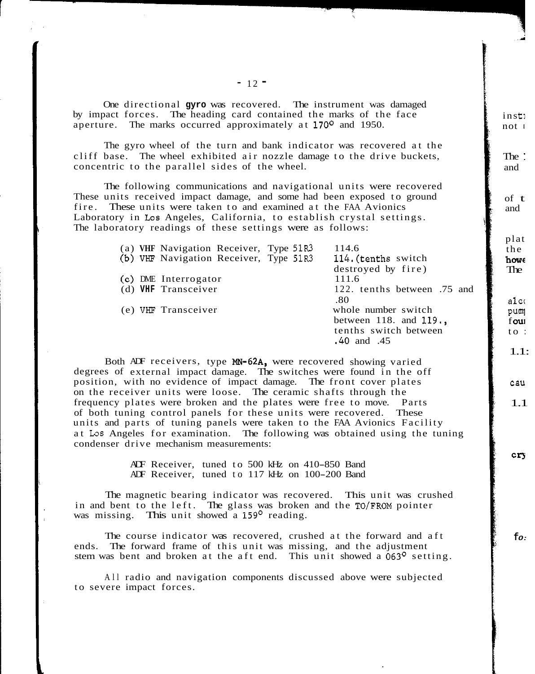One directional **gyro** was recovered. The instrument was damaged by impact forces. The heading card contained the marks of the face aperture. The marks occurred approximately at 170° and 1950.

cliff base. The wheel exhibited air nozzle damage to the drive buckets, The gyro wheel of the turn and bank indicator was recovered at the concentric to the parallel sides of the wheel.

The following communications and navigational units were recovered These units received impact damage, and some had been exposed to ground Laboratory in **Los** Angeles, California, to establish crystal settings. fire. These units were taken to and examined at the FAA Avionics The laboratory readings of these settings were as follows:

|  | (a) VHF Navigation Receiver, Type 51R3 | 114.6                       |
|--|----------------------------------------|-----------------------------|
|  | (b) VHF Navigation Receiver, Type 51R3 | 114. (tenths switch         |
|  |                                        | destroyed by fire)          |
|  | (c) DME Interrogator                   | 111.6                       |
|  | (d) VHF Transceiver                    | 122. tenths between .75 and |
|  |                                        | .80                         |
|  | (e) VHF Transceiver                    | whole number switch         |
|  |                                        | between 118. and $119.$     |
|  |                                        | tenths switch between       |
|  |                                        | .40 and .45                 |
|  |                                        |                             |

degrees of external impact damage. The switches were found in the off Both ADF receivers, type MN-62A, were recovered showing varied position, with no evidence of impact damage. The front cover plates on the receiver units were loose. The ceramic shafts through the frequency plates were broken and the plates were free to move. Parts of both tuning control panels for these units were recovered. These units and parts of tuning panels were taken to the FAA Avionics Facility at Los Angeles for examination. The following was obtained using the tuning condenser drive mechanism measurements:

> ADF Receiver, tuned to 500 kHz on 410-850 Band ADF Receiver, tuned to 117 kHz on 100-200 Band

in and bent to the left. The glass was broken and the TO/FROM pointer was missing. This unit showed a 159<sup>°</sup> reading. The magnetic bearing indicator was recovered. This unit was crushed

The course indicator was recovered, crushed at the forward and aft ends. The forward frame of this unit was missing, and the adjustment stem was bent and broken at the aft end. This unit showed a  $063^{\circ}$  setting.

to severe impact forces. All radio and navigation components discussed above were subjected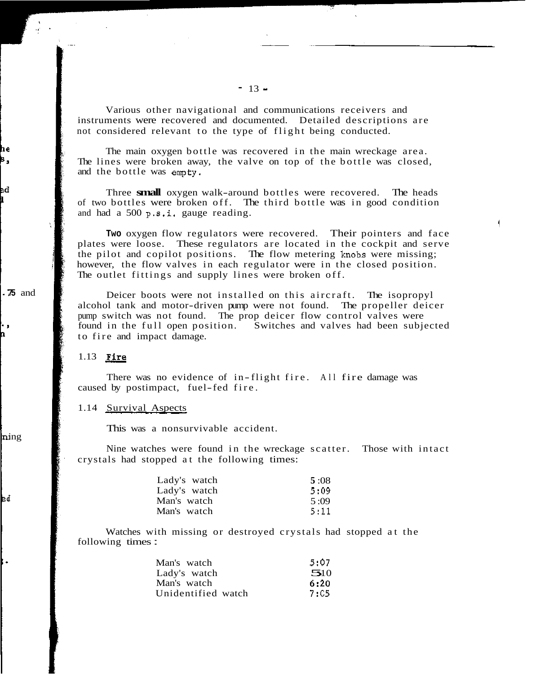instruments were recovered and documented. Detailed descriptions are not considered relevant to the type of flight being conducted. Various other navigational and communications receivers and

The lines were broken away, the valve on top of the bottle was closed, and the bottle was empty. The main oxygen bottle was recovered in the main wreckage area.

Three **small** oxygen walk-around bottles were recovered. The heads of two bottles were broken off. The third bottle was in good condition and had a 500 p.8.i. gauge reading.

**Two** oxygen flow regulators were recovered. Their pointers and face plates were loose. These regulators are located in the cockpit and serve however, the flow valves in each regulator were in the closed position. the pilot and copilot positions. The flow metering knobs were missing; The outlet fittings and supply lines were broken off.

**1:** 

Deicer boots were not installed on this aircraft. The isopropyl pump switch was not found. The prop deicer flow control valves were alcohol tank and motor-driven pump were not found. The propeller deicer found in the full open position. Switches and valves had been subjected to fire and impact damage.

#### 1.13 *Fire*

There was no evidence of in-flight fire. All fire damage was caused by postimpact, fuel-fed fire.

# 1.14 Survival Aspects

This was a nonsurvivable accident.

Nine watches were found in the wreckage scatter. Those with intact crystals had stopped at the following times:

| Lady's watch | 5:08 |
|--------------|------|
| Lady's watch | 5:09 |
| Man's watch  | 5:09 |
| Man's watch  | 5:11 |

following times : Watches with missing or destroyed crystals had stopped at the

| Man's watch        | 5:07 |
|--------------------|------|
| Lady's watch       | 510  |
| Man's watch        | 6:20 |
| Unidentified watch | 7:05 |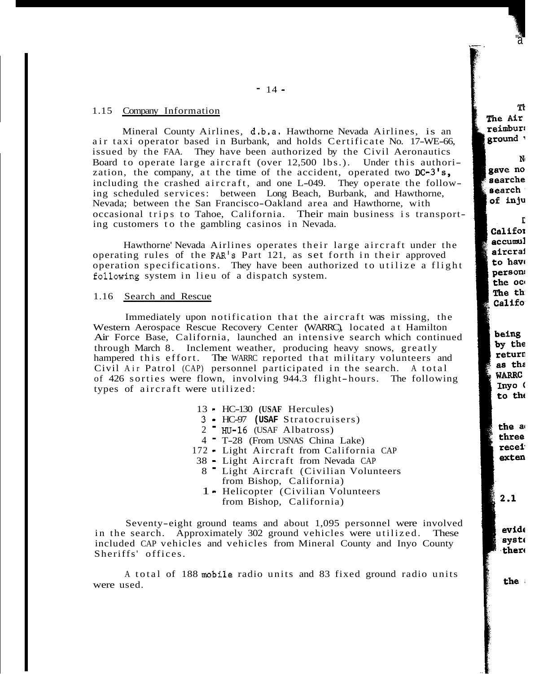## 1.15 Company Information

air taxi operator based in Burbank, and holds Certificate No. 17-WE-66, Mineral County Airlines, d.b.a. Hawthorne Nevada Airlines, is an issued by the FAA. They have been authorized by the Civil Aeronautics Board to operate large aircraft (over 12,500 lbs.). Under this authorization, the company, at the time of the accident, operated two  $DC-3's$ , including the crashed aircraft, and one L-049. They operate the following scheduled services: between Long Beach, Burbank, and Hawthorne, Nevada; between the San Francisco-Oakland area and Hawthorne, with occasional trips to Tahoe, California. Their main business is transporting customers to the gambling casinos in Nevada.

Hawthorne' Nevada Airlines operates their large aircraft under the operating rules of the FAR'S Part 121, as set forth in their approved operation specifications. They have been authorized to utilize a flight following system in lieu of a dispatch system.

### 1.16 Search and Rescue

Western Aerospace Rescue Recovery Center (WARRC), located at Hamilton Air Force Base, California, launched an intensive search which continued hampered this effort. The WARRC reported that military volunteers and through March 8. Inclement weather, producing heavy snows, greatly of 426 sorties were flown, involving 944.3 flight-hours. The following Civil Air Patrol (CAP) personnel participated in the search. A total types of aircraft were utilized: Immediately upon notification that the aircraft was missing, the

- 13 HC-130 **(USAF** Hercules)
- 3 HC-97 **(USAF** Stratocruisers)
- $2$   $\text{HU-16}$  (USAF Albatross)
- <sup>4</sup> T-28 (From USNAS China Lake)
- <sup>172</sup> Light Aircraft from California CAP
- 38 Light Aircraft from Nevada CAP
	- from Bishop, California) 8 - Light Aircraft (Civilian Volunteers
	- from Bishop, California) 1 - Helicopter (Civilian Volunteers

in the search. Approximately 302 ground vehicles were utilized. These included CAP vehicles and vehicles from Mineral County and Inyo County Sheriffs' offices. Seventy-eight ground teams and about 1,095 personnel were involved

A total of 188 mobile radio units and 83 fixed ground radio units were used.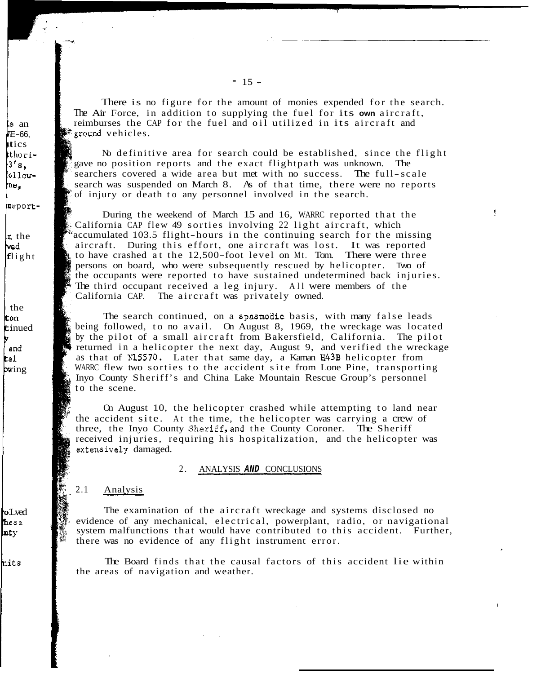There is no figure for the amount of monies expended for the search. The Air Force, in addition to supplying the fuel for its **own** aircraft, reimburses the CAP for the fuel and oil utilized in its aircraft and  $\mathbb{R}$  round vehicles.

gave no position reports and the exact flightpath was unknown. The searchers covered a wide area but met with no success. The full-scale search was suspended on March 8. As of that time, there were no reports of injury or death to any personnel involved in the search. No definitive area for search could be established, since the flight

During the weekend of March 15 and 16, WARRC reported that the California CAP flew 49 sorties involving 22 light aircraft, which accumulated 103.5 flight-hours in the continuing search for the missing aircraft. During this effort, one aircraft was lost. It was reported to have crashed at the 12,500-foot level on Mt. Tom. There were three<br>spersons on board, who were subsequently rescued by helicopter. Two of persons on board, who were subsequently rescued by helicopter. the occupants were reported to have sustained undetermined back injuries. The third occupant received a leg injury. All were members of the California CAP. The aircraft was privately owned.

The search continued, on a spasmodic basis, with many false leads being followed, to no avail. On August 8, 1969, the wreckage was located by the pilot of a small aircraft from Bakersfield, California. The pilot returned in a helicopter the next day, August 9, and verified the wreckage as that of N15570. Later that same day, a Kaman H43B helicopter from WARRC flew two sorties to the accident site from Lone Pine, transporting to the scene. Inyo County Sheriff's and China Lake Mountain Rescue Group's personnel

the accident site. At the time, the helicopter was carrying a crew of three, the Inyo County Sheriff,and the County Coroner. The Sheriff received injuries, requiring his hospitalization, and the helicopter was extensively damaged. On August 10, the helicopter crashed while attempting to land near

### 2. ANALYSIS *AND* CONCLUSIONS

#### $2.1$  Analysis

evidence of any mechanical, electrical, powerplant, radio, or navigational system malfunctions that would have contributed to this accident. Further, The examination of the aircraft wreckage and systems disclosed no there was no evidence of any flight instrument error.

the areas of navigation and weather. The Board finds that the causal factors of this accident lie within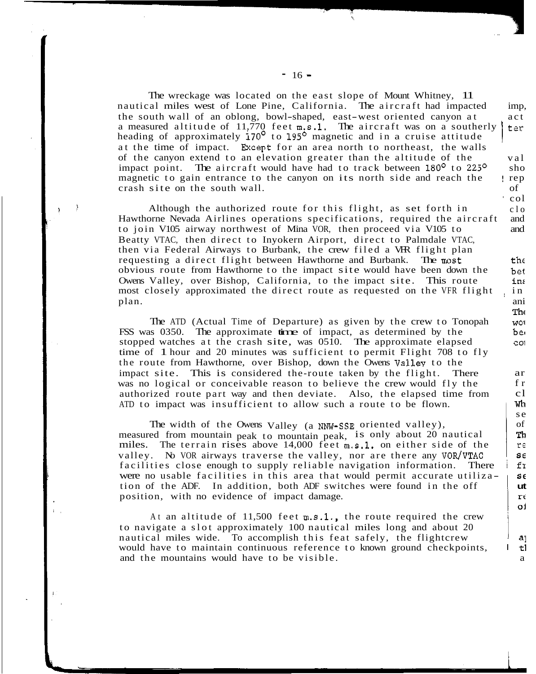nautical miles west of Lone Pine, California. The aircraft had impacted the south wall of an oblong, bowl-shaped, east-west oriented canyon at a measured altitude of 11,770 feet  $m.s.1$ . The aircraft was on a southerly heading of approximately  $170^{\circ}$  to  $195^{\circ}$  magnetic and in a cruise attitude at the time of impact. Brcept for an area north to northeast, the walls of the canyon extend to an elevation greater than the altitude of the impact point. The aircraft would have had to track between 180<sup>°</sup> to 225<sup>°</sup> magnetic to gain entrance to the canyon on its north side and reach the crash site on the south wall. The wreckage was located on the east slope of Mount Whitney, 11

ć

۱,

' col

Although the authorized route for this flight, as set forth in Hawthorne Nevada Airlines operations specifications, required the aircraft to join V105 airway northwest of Mina VOR, then proceed via V105 to Beatty VTAC, then direct to Inyokern Airport, direct to Palmdale VTAC, then via Federal Airways to Burbank, the crew filed a VFR flight plan obvious route from Hawthorne to the impact site would have been down the requesting a direct flight between Hawthorne and Burbank. The most Owens Valley, over Bishop, California, to the impact site. This route most closely approximated the direct route as requested on the VFR flight plan. **and the contract of the contract of the contract of the contract of the contract of the contract of the contract of the contract of the contract of the contract of the contract of the contract of the contract of the** 

 $\rightarrow$ 

FSS was 0350. The approximate time of impact, as determined by the The ATD (Actual Time of Departure) as given by the crew to Tonopah stopped watches at the crash site, was 0510. The approximate elapsed time of 1 hour and 20 minutes was sufficient to permit Flight 708 to fly the route from Hawthorne, over Bishop, down the Owens Valley to the was no logical or conceivable reason to believe the crew would fly the impact site. This is considered the-route taken by the flight. There authorized route part way and then deviate. Also, the elapsed time from ATD to impact was insufficient to allow such a route to be flown.

measured from mountain peak to mountain peak, is only about 20 nautical The width of the Owens Valley (a **NNW-SSE** oriented valley), miles. The terrain rises above 14,000 feet m.s.1. on either side of the valley. No VOR airways traverse the valley, nor are there any VOR/VTAC facilities close enough to supply reliable navigation information. There were no usable facilities in this area that would permit accurate utilization of the ADF. In addition, both ADF switches were found in the off position, with no evidence of impact damage.

to navigate a slot approximately 100 nautical miles long and about 20 nautical miles wide. To accomplish this feat safely, the flightcrew At an altitude of  $11,500$  feet  $m, s, 1$ ., the route required the crew would have to maintain continuous reference to known ground checkpoints, and the mountains would have to be visible.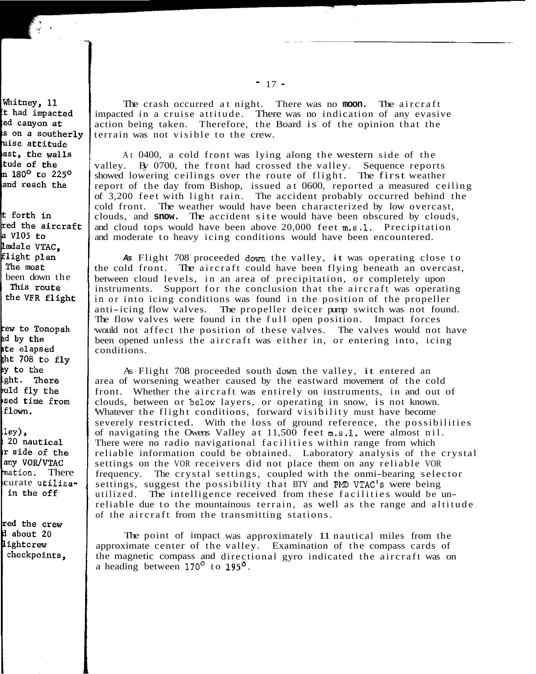The crash occurred at night. There was no **moon.** The aircraft impacted in a cruise attitude. There was no indication of any evasive terrain was not visible to the crew. action being taken. Therefore, the Board is of the opinion that the

valley. By 0700, the front had crossed the valley. Sequence reports showed lowering ceilings over the route of flight. The first weather report of the day from Bishop, issued at 0600, reported a measured ceiling of 3,200 feet with light rain. The accident probably occurred behind the cold front. The weather would have been characterized by low overcast, clouds, and **snow.** The accident site would have been obscured by clouds, and cloud tops would have been above 20,000 feet m.s.1. Precipitation and moderate to heavy icing conditions would have been encountered. At 0400, a cold front was lying along the western side of the

As Flight 708 proceeded down the valley, it was operating close to the cold front. The aircraft could have been flying beneath an overcast, between cloud levels, in an area of precipitation, or completely upon instruments. Support for the conclusion that the aircraft was operating in or into icing conditions was found in the position of the propeller anti-icing flow valves. The propeller deicer pump switch was not found. The flow valves were found in the full open position. Impact forces would not affect the position of these valves. The valves would not have been opened unless the aircraft was either in, or entering into, icing conditions.

As Flight 708 proceeded south down the valley, it entered an area of worsening weather caused by the eastward movement of the cold front. Whether the aircraft was entirely on instruments, in and out of clouds, between or belcw layers, or operating in snow, is not known. Whatever the flight conditions, forward visibility must have become severely restricted. With the loss of ground reference, the possibilities of navigating the Owens Valley at 11,500 feet m.s.1. were almost nil. There were no radio navigational facilities within range from which reliable information could be obtained. Laboratory analysis of the crystal settings on the VOR receivers did not place them on any reliable VOR frequency. The crystal settings, coupled with the onmi-bearing selector settings, suggest the possibility that BTY and PMD VTAC'S were being utilized. The intelligence received from these facilities would be unreliable due to the mountainous terrain, as well as the range and altitude of the aircraft from the transmitting stations.

approximate center of the valley. Examination of the compass cards of The point of impact was approximately 11 nautical miles from the the magnetic compass and directional gyro indicated the aircraft was on a heading between 170' to **195'.**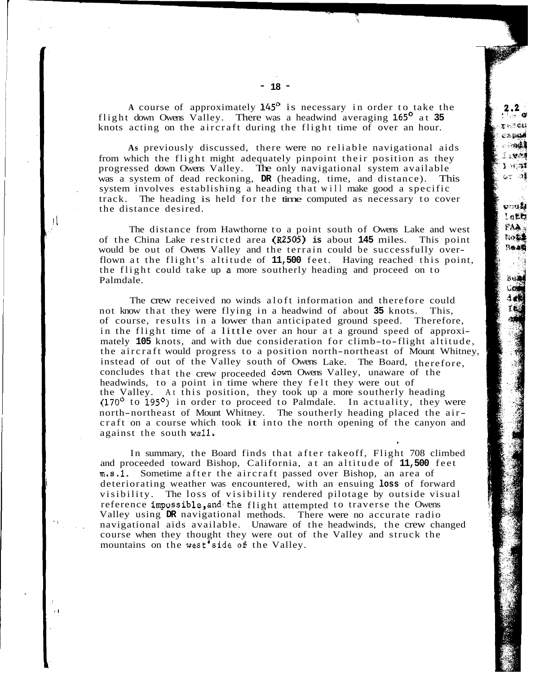flight down Owens Valley. There was a headwind averaging **165'** at **35**  knots acting on the aircraft during the flight time of over an hour. A course of approximately 145<sup>°</sup> is necessary in order to take the

from which the flight might adequately pinpoint their position as they was a system of dead reckoning, **DR** (heading, time, and distance). This progressed down Owens Valley. The only navigational system available system involves establishing a heading that will make good a specific track. The heading is held for the time computed as necessary to cover the distance desired. **As** previously discussed, there were no reliable navigational aids

эt

 $\boldsymbol{r}$  i

The distance from Hawthorne to a point south of Owens Lake and west would be out of Owens Valley and the terrain could be successfully overof the China Lake restricted area **(R2505) is** about **145** miles. This point flown at the flight's altitude of **11,500** feet. Having reached this point, Palmdale. the flight could take up **B** more southerly heading and proceed on to

The crew received no winds aloft information and therefore could not know that they were flying in a headwind of about **35** knots. This, of course, results in a lower than anticipated ground speed. Therefore, in the flight time of a little over an hour at a ground speed of approximately **105** knots, and with due consideration for climb-to-flight altitude, the aircraft would progress to a position north-northeast of Mount Whitney, concludes that the crew proceeded down Owens Valley, unaware of the instead of out of the Valley south of Owens Lake. The Board, therefore, headwinds, to a point in time where they felt they were out of the Valley. At this position, they took up a more southerly heading (170' to **195O)** in order to proceed to Palmdale. In actuality, they were north-northeast of Mount Whitney. The southerly heading placed the aircraft on a course which took it into the north opening of the canyon and against the south wall,

\*

In summary, the Board finds that after takeoff, Flight 708 climbed and proceeded toward Bishop, California, at an altitude of **11,500** feet m.s.1. Sometime after the aircraft passed over Bishop, an area of deteriorating weather was encountered, with an ensuing **loss** of forward visibility. The loss of visibility rendered pilotage by outside visual Valley using **DR** navigational methods. There were no accurate radio reference impossible,and'the flight attempted to traverse the Owens navigational aids available. Unaware of the headwinds, the crew changed course when they thought they were out of the Valley and struck the mountains on the west'side *05* the Valley.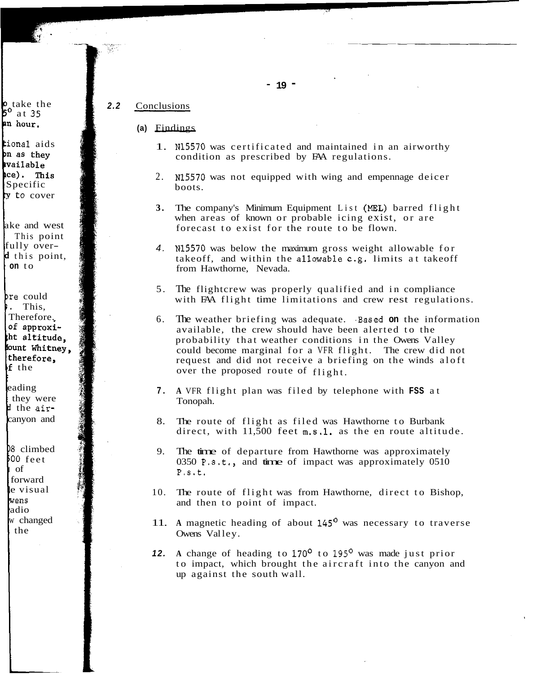#### 2.2 Conclusions

## **(a)** Findings

- 1. N15570 was certificated and maintained in an airworthy condition as prescribed by FAA regulations.
- 2. N15570 was not equipped with wing and empennage deicer boots.
- **3.** The company's Minimum Equipment List (hEL) barred flight when areas of known or probable icing exist, or are forecast to exist for the route to be flown.
- *4.* N15570 was below the maximum gross weight allowable for takeoff, and within the allowable c.g. limits at takeoff from Hawthorne, Nevada.
- 5. The flightcrew was properly qualified and in compliance with FAA flight time limitations and crew rest regulations.
- 6. The weather briefing was adequate. .Based **on** the information available, the crew should have been alerted to the probability that weather conditions in the Owens Valley request and did not receive a briefing on the winds aloft could become marginal for a VFR flight. The crew did not over the proposed route of flight.
- **7. A** VFR flight plan was filed by telephone with **FSS** at Tonopah.
- 8. The route of flight as filed was Hawthorne to Burbank direct, with  $11,500$  feet  $\text{m.s.1.}$  as the en route altitude.
- 9. The time of departure from Hawthorne was approximately 0350 P.s.t., and time of impact was approximately 0510 P.S.t.
- 10. The route of flight was from Hawthorne, direct to Bishop, and then to point of impact.
- 11. **A** magnetic heading of about *145'* was necessary to traverse Owens Valley.
- *12.* **A** change of heading to **170'** to 195' was made just prior to impact, which brought the aircraft into the canyon and up against the south wall.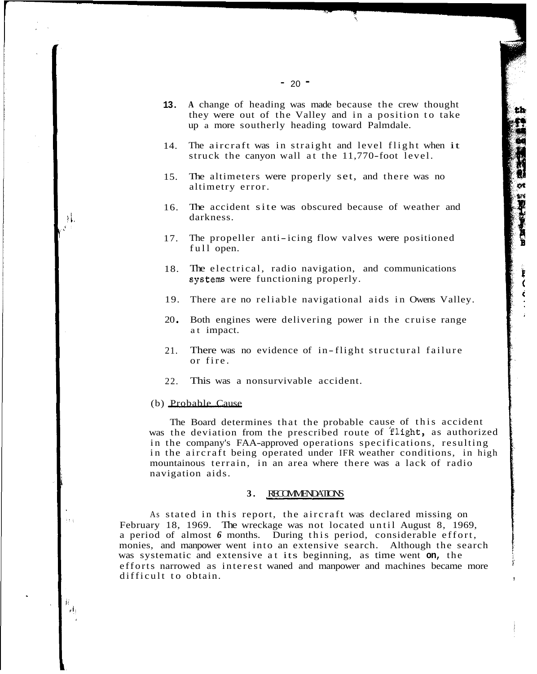- 14. The aircraft was in straight and level flight when it struck the canyon wall at the 11,770-foot level.
- 15. The altimeters were properly set, and there was no altimetry error.
- 16. The accident site was obscured because of weather and darkness.
- 17. The propeller anti-icing flow valves were positioned full open.
- 18. The electrical, radio navigation, and communications systems were functioning properly.
- 19. There are no reliable navigational aids in Owens Valley.
- 20 \* Both engines were delivering power in the cruise range at impact.
- 21. There was no evidence of in-flight structural failure or fire.
- 22. This was a nonsurvivable accident.

#### (b) Probable Cause

 $\rightarrow$ i.

 $\lambda$  )  $\lambda$ 

J.  $r^{i_1}$  was the deviation from the prescribed route of flight, as authorized The Board determines that the probable cause of this accident in the company's FAA-approved operations specifications, resulting in the aircraft being operated under IFR weather conditions, in high mountainous terrain, in an area where there was a lack of radio navigation aids.

### **3.** RECOMMENDATIONS

February 18, 1969. The wreckage was not located until August 8, 1969, a period of almost *6* months. During this period, considerable effort, was systematic and extensive at its beginning, as time went **on,** the monies, and manpower went into an extensive search. Although the search efforts narrowed as interest waned and manpower and machines became more As stated in this report, the aircraft was declared missing on difficult to obtain.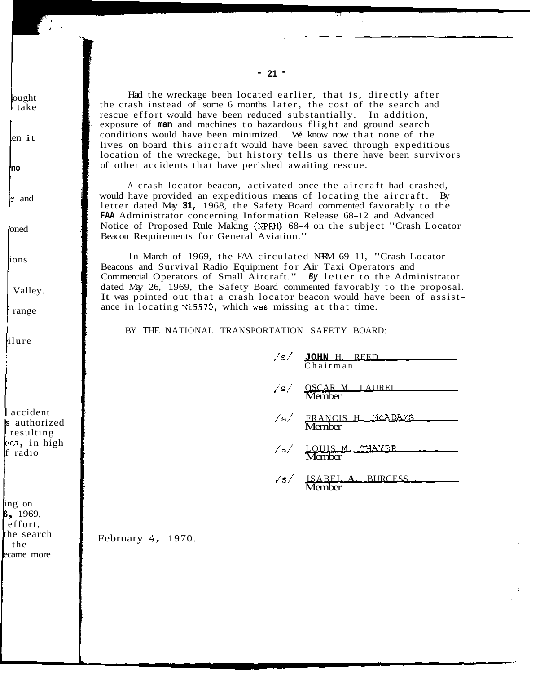the crash instead of some 6 months later, the cost of the search and Had the wreckage been located earlier, that is, directly after rescue effort would have been reduced substantially. In addition, exposure of **man** and machines to hazardous flight and ground search conditions would have been minimized. We know now that none of the lives on board this aircraft would have been saved through expeditious location of the wreckage, but history tells us there have been survivors of other accidents that have perished awaiting rescue.

would have provided an expeditious means of locating the aircraft. By A crash locator beacon, activated once the aircraft had crashed, letter dated May **31,** 1968, the Safety Board commented favorably to the **FAA** Administrator concerning Information Release 68-12 and Advanced Notice of Proposed Rule Making (NPRM) 68-4 on the subject "Crash Locator Beacon Requirements for General Aviation."

Beacons and Survival Radio Equipment for Air Taxi Operators and Commercial Operators of Small Aircraft." *By* letter to the Administrator dated May 26, 1969, the Safety Board commented favorably to the proposal. It was pointed out that a crash locator beacon would have been of assistance in locating **N15570,** which was missing at that time. In March of 1969, the FAA circulated NRM 69-11, "Crash Locator

BY THE NATIONAL TRANSPORTATION SAFETY BOARD:

| $/s/$ JOHN H. REED.          |
|------------------------------|
|                              |
| /s/ FRANCIS H MCADAMS        |
| /s/ LOUIS M. THAYER          |
| $\sqrt{s}$ ISABEL A. BURGESS |

**Member** 

February **4,** 1970.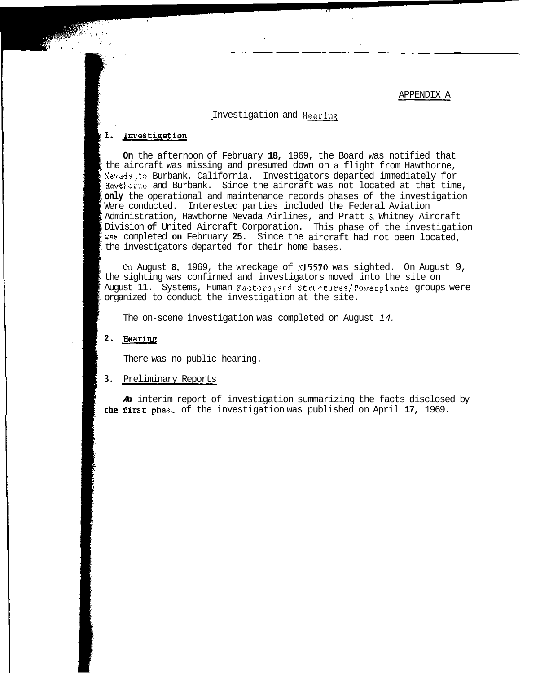Investigation and Hearinx

## 1. Investigation

**On** the afternoon of February **18,** 1969, the Board was notified that the aircraft was missing and presumed down on a flight from Hawthorne, Nevada,to Burbank, California. Investigators departed immediately for Hawthorne and Burbank. Since the aircraft was not located at that time, **only** the operational and maintenance records phases of the investigation Were conducted. Interested parties included the Federal Aviation Administration, Hawthorne Nevada Airlines, and Pratt & Whitney Aircraft wae completed **on** February **25.** Since the aircraft had not been located, Division **of** United Aircraft Corporation. This phase of the investigation the investigators departed for their home bases.

*On* August **8,** 1969, the wreckage of **N15570** was sighted. On August 9, the sighting was confirmed and investigators moved into the site on August 11. Systems, Human Factors,and Structures/Powerplants groups were organized to conduct the investigation at the site.

The on-scene investigation was completed on August *14.* 

### 2. Hearing

There was no public hearing.

#### **3.** Preliminary Reports

*An* interim report of investigation summarizing the facts disclosed by se of the investigation was published on April **17,** 1969.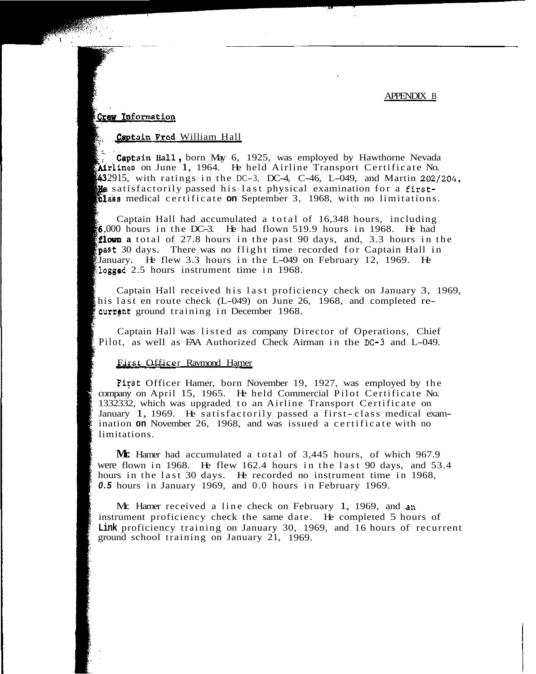# Crew Information

## Captain Fred William Hall

Captain Hall, born May 6, 1925, was employed by Hawthorne Nevada  $\mathbf{M}$ rlines on June 1, 1964. He held Airline Transport Certificate No. 432915, with ratings in the DC-3, DC-4, C-46, L-049, and Martin  $202/204$ . **He** satisfactorily passed his last physical examination for a first-**Elass** medical certificate **on** September 3, 1968, with no limitations.

Captain Hall had accumulated a total of 16,348 hours, including ,000 hours in the DC-3. He had flown 519.9 hours in 1968. He had flown a total of 27.8 hours in the past 90 days, and, 3.3 hours in the past 30 days. There was no flight time recorded for Captain Hall in January. He flew 3.3 hours in the L-049 on February 12, 1969. logged 2.5 hours instrument time in 1968.

Captain Hall received his last proficiency check on January 3, 1969, his last en route check (L-049) on June 26, 1968, and completed recurrent ground training in December 1968.

Captain Hall was listed as company Director of Operations, Chief Pilot, as well as FAA Authorized Check Airman in the DC-3 and L-049.

### First Officer Raymond Hamer

Fifst Officer Hamer, born November 19, 1927, was employed by the company on April 15, 1965. He held Commercial Pilot Certificate No. 1332332, which was upgraded to an Airline Transport Certificate on January 1, 1969. He satisfactorily passed a first-class medical examination **on** November 26, 1968, and was issued a certificate with no limitations.

were flown in 1968. He flew 162.4 hours in the last 90 days, and 53.4 hours in the last 30 days. He recorded no instrument time in 1968, *0.5* hours in January 1969, and 0.0 hours in February 1969. **Mr.** Hamer had accumulated a total of 3,445 hours, of which 967.9

Mr. Hamer received a line check on February 1, 1969, and an **Link** proficiency training on January 30, 1969, and 16 hours of recurrent instrument proficiency check the same date. He completed 5 hours of ground school training on January 21, 1969.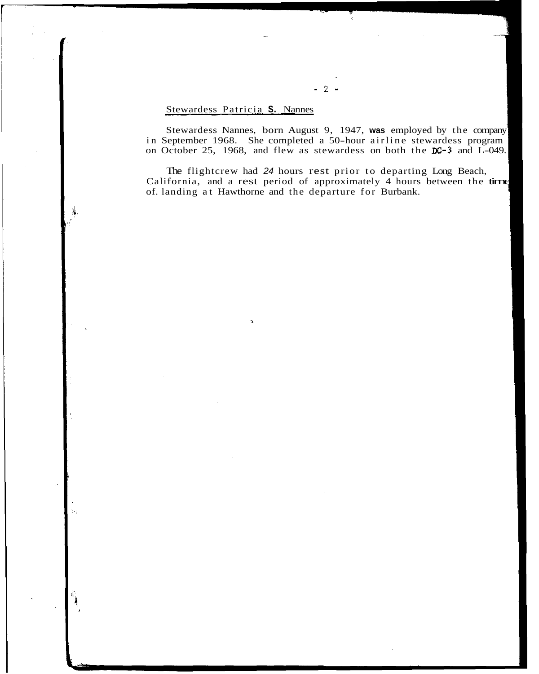## Stewardess Patricia **S.** Nannes

 $\Delta$ 

Stewardess Nannes, born August 9, 1947, **was** employed by the company on October 25, 1968, and flew as stewardess on both the **LC-3** and L-049. in September 1968. She completed a 50-hour airline stewardess program

The flightcrew had *24* hours rest prior to departing Long Beach, The ingilate what 24 hours rest prior to departing Eong Beach,<br>California, and a rest period of approximately 4 hours between the time of. landing at Hawthorne and the departure for Burbank.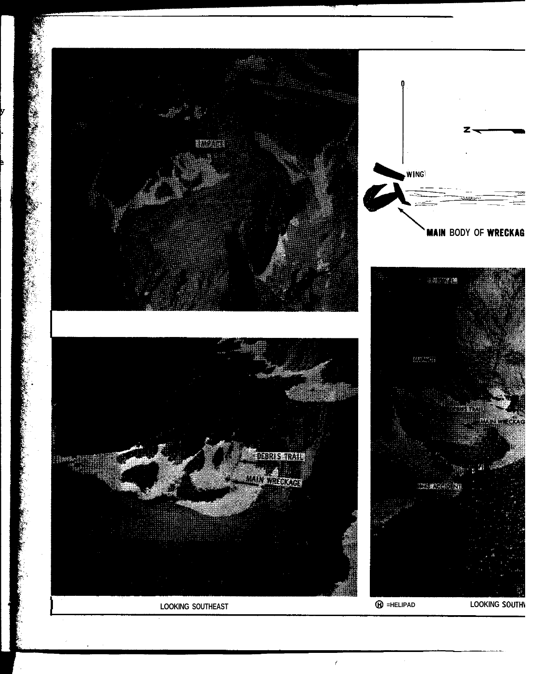